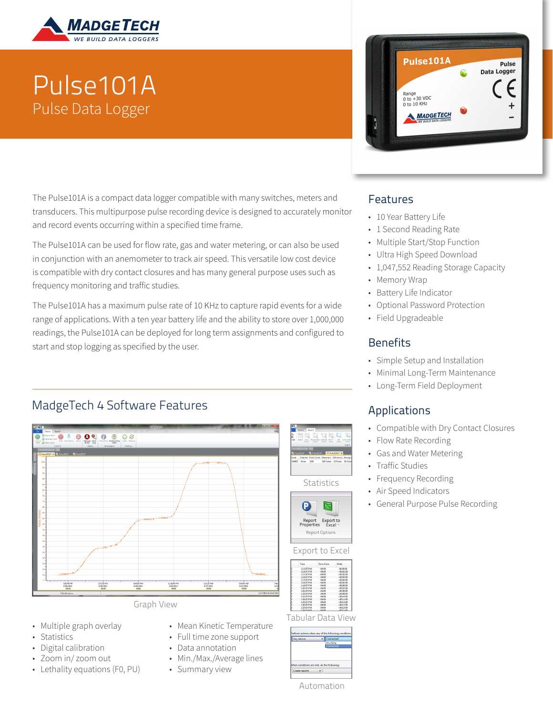

# Pulse101A Pulse Data Logger

The Pulse101A is a compact data logger compatible with many switches, meters and transducers. This multipurpose pulse recording device is designed to accurately monitor and record events occurring within a specified time frame.

The Pulse101A can be used for flow rate, gas and water metering, or can also be used in conjunction with an anemometer to track air speed. This versatile low cost device is compatible with dry contact closures and has many general purpose uses such as frequency monitoring and traffic studies.

The Pulse101A has a maximum pulse rate of 10 KHz to capture rapid events for a wide range of applications. With a ten year battery life and the ability to store over 1,000,000 readings, the Pulse101A can be deployed for long term assignments and configured to start and stop logging as specified by the user.

## MadgeTech 4 Software Features



- Multiple graph overlay
- **Statistics**
- Digital calibration
- Zoom in/ zoom out
- Lethality equations (F0, PU)
- Mean Kinetic Temperature
- Full time zone support
- Data annotation
- Min./Max./Average lines
- Summary view



#### Features

- 10 Year Battery Life
- 1 Second Reading Rate
- Multiple Start/Stop Function
- Ultra High Speed Download
- 1,047,552 Reading Storage Capacity
- Memory Wrap
- Battery Life Indicator
- Optional Password Protection
- Field Upgradeable

#### **Benefits**

- Simple Setup and Installation
- Minimal Long-Term Maintenance
- Long-Term Field Deployment

### Applications

- Compatible with Dry Contact Closures
- Flow Rate Recording
- Gas and Water Metering
- Traffic Studies
- Frequency Recording
- Air Speed Indicators
- General Purpose Pulse Recording

| Automation |  |  |  |  |  |
|------------|--|--|--|--|--|
|            |  |  |  |  |  |